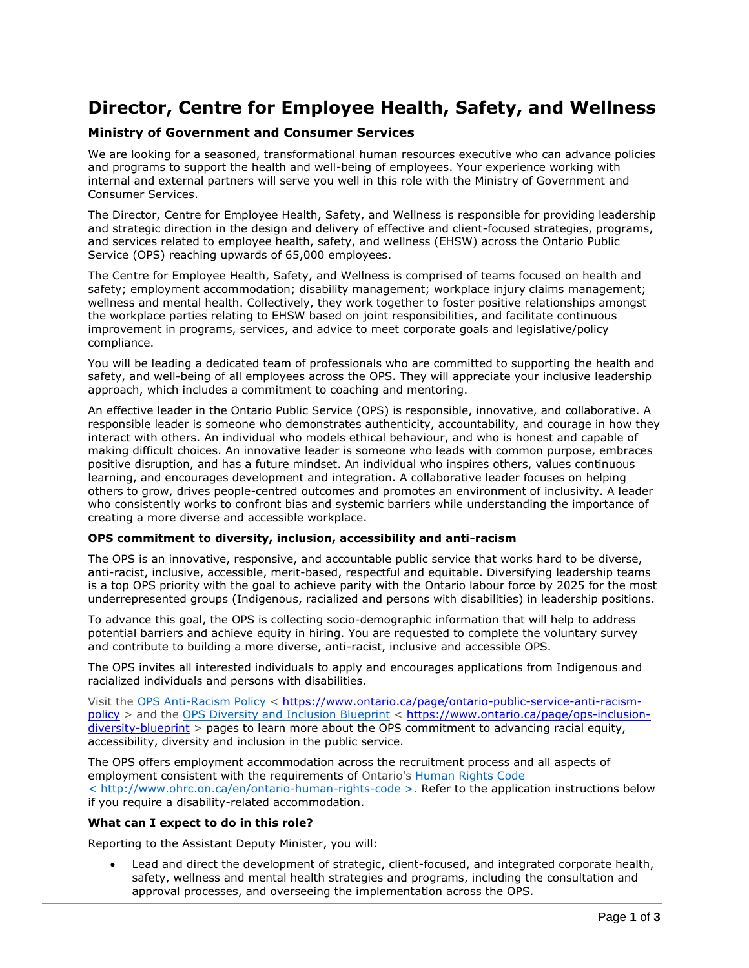# **Director, Centre for Employee Health, Safety, and Wellness**

## **Ministry of Government and Consumer Services**

We are looking for a seasoned, transformational human resources executive who can advance policies and programs to support the health and well-being of employees. Your experience working with internal and external partners will serve you well in this role with the Ministry of Government and Consumer Services.

The Director, Centre for Employee Health, Safety, and Wellness is responsible for providing leadership and strategic direction in the design and delivery of effective and client-focused strategies, programs, and services related to employee health, safety, and wellness (EHSW) across the Ontario Public Service (OPS) reaching upwards of 65,000 employees.

The Centre for Employee Health, Safety, and Wellness is comprised of teams focused on health and safety; employment accommodation; disability management; workplace injury claims management; wellness and mental health. Collectively, they work together to foster positive relationships amongst the workplace parties relating to EHSW based on joint responsibilities, and facilitate continuous improvement in programs, services, and advice to meet corporate goals and legislative/policy compliance.

You will be leading a dedicated team of professionals who are committed to supporting the health and safety, and well-being of all employees across the OPS. They will appreciate your inclusive leadership approach, which includes a commitment to coaching and mentoring.

An effective leader in the Ontario Public Service (OPS) is responsible, innovative, and collaborative. A responsible leader is someone who demonstrates authenticity, accountability, and courage in how they interact with others. An individual who models ethical behaviour, and who is honest and capable of making difficult choices. An innovative leader is someone who leads with common purpose, embraces positive disruption, and has a future mindset. An individual who inspires others, values continuous learning, and encourages development and integration. A collaborative leader focuses on helping others to grow, drives people-centred outcomes and promotes an environment of inclusivity. A leader who consistently works to confront bias and systemic barriers while understanding the importance of creating a more diverse and accessible workplace.

### **OPS commitment to diversity, inclusion, accessibility and anti-racism**

The OPS is an innovative, responsive, and accountable public service that works hard to be diverse, anti-racist, inclusive, accessible, merit-based, respectful and equitable. Diversifying leadership teams is a top OPS priority with the goal to achieve parity with the Ontario labour force by 2025 for the most underrepresented groups (Indigenous, racialized and persons with disabilities) in leadership positions.

To advance this goal, the OPS is collecting socio-demographic information that will help to address potential barriers and achieve equity in hiring. You are requested to complete the voluntary survey and contribute to building a more diverse, anti-racist, inclusive and accessible OPS.

The OPS invites all interested individuals to apply and encourages applications from Indigenous and racialized individuals and persons with disabilities.

Visit the [OPS Anti-Racism Policy](https://www.ontario.ca/page/ontario-public-service-anti-racism-policy) < [https://www.ontario.ca/page/ontario-public-service-anti-racism](https://www.ontario.ca/page/ontario-public-service-anti-racism-policy)[policy](https://www.ontario.ca/page/ontario-public-service-anti-racism-policy) > and the [OPS Diversity and Inclusion Blueprint](https://www.ontario.ca/page/ops-inclusion-diversity-blueprint) < [https://www.ontario.ca/page/ops-inclusion](https://www.ontario.ca/page/ops-inclusion-diversity-blueprint)[diversity-blueprint](https://www.ontario.ca/page/ops-inclusion-diversity-blueprint) > pages to learn more about the OPS commitment to advancing racial equity, accessibility, diversity and inclusion in the public service.

The OPS offers employment accommodation across the recruitment process and all aspects of employment consistent with the requirements of Ontario's [Human Rights](http://www.ohrc.on.ca/en/ontario-human-rights-code) Code  $\leq$  http://www.ohrc.on.ca/en/ontario-human-rights-code  $\geq$ . Refer to the application instructions below if you require a disability-related accommodation.

#### **What can I expect to do in this role?**

Reporting to the Assistant Deputy Minister, you will:

• Lead and direct the development of strategic, client-focused, and integrated corporate health, safety, wellness and mental health strategies and programs, including the consultation and approval processes, and overseeing the implementation across the OPS.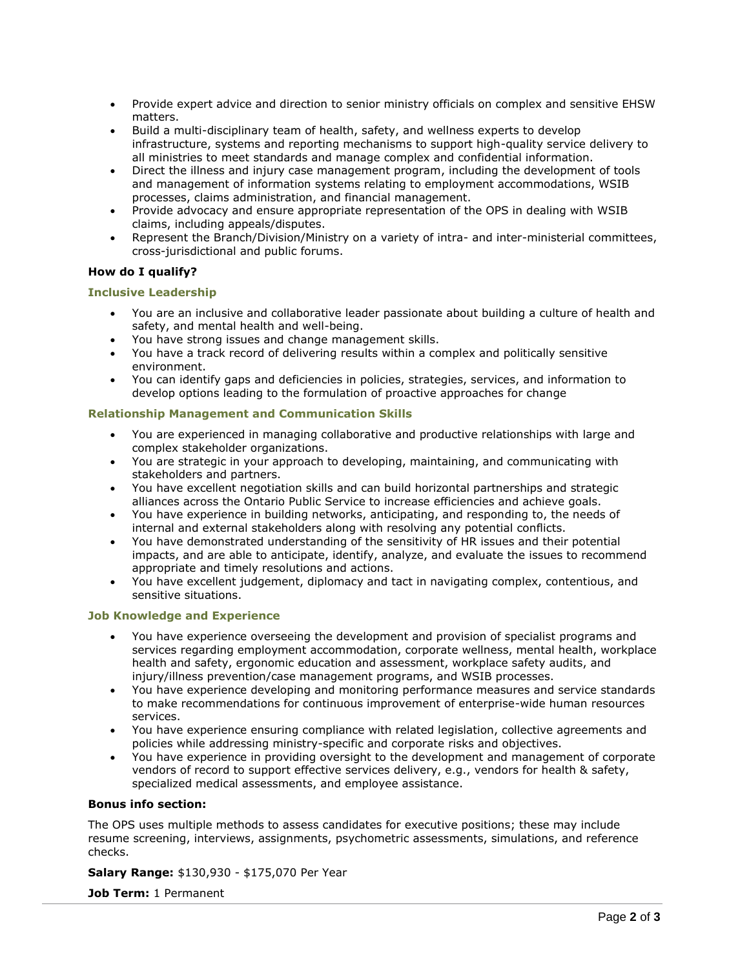- Provide expert advice and direction to senior ministry officials on complex and sensitive EHSW matters.
- Build a multi-disciplinary team of health, safety, and wellness experts to develop infrastructure, systems and reporting mechanisms to support high-quality service delivery to all ministries to meet standards and manage complex and confidential information.
- Direct the illness and injury case management program, including the development of tools and management of information systems relating to employment accommodations, WSIB processes, claims administration, and financial management.
- Provide advocacy and ensure appropriate representation of the OPS in dealing with WSIB claims, including appeals/disputes.
- Represent the Branch/Division/Ministry on a variety of intra- and inter-ministerial committees, cross-jurisdictional and public forums.

#### **How do I qualify?**

#### **Inclusive Leadership**

- You are an inclusive and collaborative leader passionate about building a culture of health and safety, and mental health and well-being.
- You have strong issues and change management skills.
- You have a track record of delivering results within a complex and politically sensitive environment.
- You can identify gaps and deficiencies in policies, strategies, services, and information to develop options leading to the formulation of proactive approaches for change

### **Relationship Management and Communication Skills**

- You are experienced in managing collaborative and productive relationships with large and complex stakeholder organizations.
- You are strategic in your approach to developing, maintaining, and communicating with stakeholders and partners.
- You have excellent negotiation skills and can build horizontal partnerships and strategic alliances across the Ontario Public Service to increase efficiencies and achieve goals.
- You have experience in building networks, anticipating, and responding to, the needs of internal and external stakeholders along with resolving any potential conflicts.
- You have demonstrated understanding of the sensitivity of HR issues and their potential impacts, and are able to anticipate, identify, analyze, and evaluate the issues to recommend appropriate and timely resolutions and actions.
- You have excellent judgement, diplomacy and tact in navigating complex, contentious, and sensitive situations.

#### **Job Knowledge and Experience**

- You have experience overseeing the development and provision of specialist programs and services regarding employment accommodation, corporate wellness, mental health, workplace health and safety, ergonomic education and assessment, workplace safety audits, and injury/illness prevention/case management programs, and WSIB processes.
- You have experience developing and monitoring performance measures and service standards to make recommendations for continuous improvement of enterprise-wide human resources services.
- You have experience ensuring compliance with related legislation, collective agreements and policies while addressing ministry-specific and corporate risks and objectives.
- You have experience in providing oversight to the development and management of corporate vendors of record to support effective services delivery, e.g., vendors for health & safety, specialized medical assessments, and employee assistance.

#### **Bonus info section:**

The OPS uses multiple methods to assess candidates for executive positions; these may include resume screening, interviews, assignments, psychometric assessments, simulations, and reference checks.

**Salary Range:** \$130,930 - \$175,070 Per Year

**Job Term:** 1 Permanent